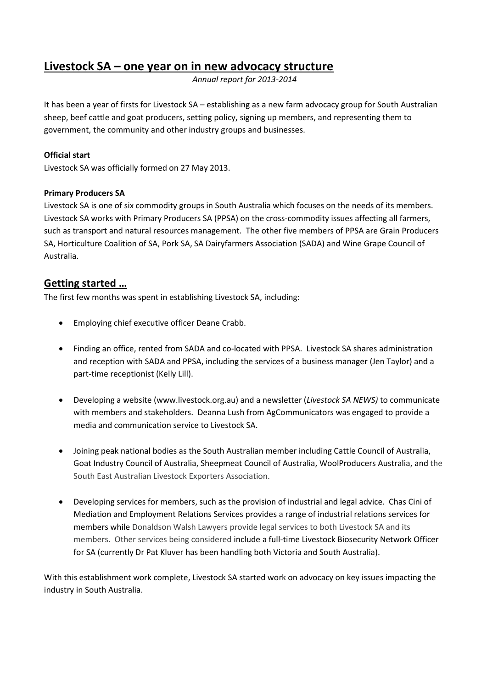# **Livestock SA – one year on in new advocacy structure**

*Annual report for 2013-2014*

It has been a year of firsts for Livestock SA – establishing as a new farm advocacy group for South Australian sheep, beef cattle and goat producers, setting policy, signing up members, and representing them to government, the community and other industry groups and businesses.

### **Official start**

Livestock SA was officially formed on 27 May 2013.

### **Primary Producers SA**

Livestock SA is one of six commodity groups in South Australia which focuses on the needs of its members. Livestock SA works with Primary Producers SA (PPSA) on the cross-commodity issues affecting all farmers, such as transport and natural resources management. The other five members of PPSA are Grain Producers SA, Horticulture Coalition of SA, Pork SA, SA Dairyfarmers Association (SADA) and Wine Grape Council of Australia.

# **Getting started …**

The first few months was spent in establishing Livestock SA, including:

- **•** Employing chief executive officer Deane Crabb.
- Finding an office, rented from SADA and co-located with PPSA. Livestock SA shares administration and reception with SADA and PPSA, including the services of a business manager (Jen Taylor) and a part-time receptionist (Kelly Lill).
- Developing a website [\(www.livestock.org.au\)](http://www.livestock.org.au/) and a newsletter (*Livestock SA NEWS)* to communicate with members and stakeholders. Deanna Lush from AgCommunicators was engaged to provide a media and communication service to Livestock SA.
- Joining peak national bodies as the South Australian member including Cattle Council of Australia, Goat Industry Council of Australia, Sheepmeat Council of Australia, WoolProducers Australia, and the South East Australian Livestock Exporters Association.
- Developing services for members, such as the provision of industrial and legal advice. Chas Cini of Mediation and Employment Relations Services provides a range of industrial relations services for members while Donaldson Walsh Lawyers provide legal services to both Livestock SA and its members. Other services being considered include a full-time Livestock Biosecurity Network Officer for SA (currently Dr Pat Kluver has been handling both Victoria and South Australia).

With this establishment work complete, Livestock SA started work on advocacy on key issues impacting the industry in South Australia.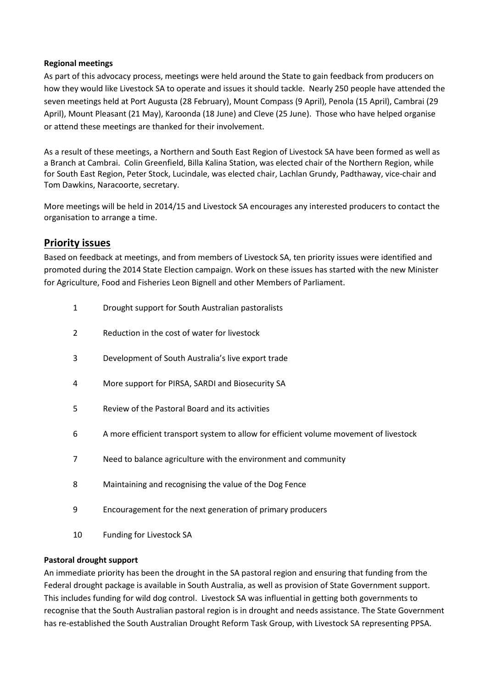### **Regional meetings**

As part of this advocacy process, meetings were held around the State to gain feedback from producers on how they would like Livestock SA to operate and issues it should tackle. Nearly 250 people have attended the seven meetings held at Port Augusta (28 February), Mount Compass (9 April), Penola (15 April), Cambrai (29 April), Mount Pleasant (21 May), Karoonda (18 June) and Cleve (25 June). Those who have helped organise or attend these meetings are thanked for their involvement.

As a result of these meetings, a Northern and South East Region of Livestock SA have been formed as well as a Branch at Cambrai. Colin Greenfield, Billa Kalina Station, was elected chair of the Northern Region, while for South East Region, Peter Stock, Lucindale, was elected chair, Lachlan Grundy, Padthaway, vice-chair and Tom Dawkins, Naracoorte, secretary.

More meetings will be held in 2014/15 and Livestock SA encourages any interested producers to contact the organisation to arrange a time.

# **Priority issues**

Based on feedback at meetings, and from members of Livestock SA, ten priority issues were identified and promoted during the 2014 State Election campaign. Work on these issues has started with the new Minister for Agriculture, Food and Fisheries Leon Bignell and other Members of Parliament.

- 1 Drought support for South Australian pastoralists
- 2 Reduction in the cost of water for livestock
- 3 Development of South Australia's live export trade
- 4 More support for PIRSA, SARDI and Biosecurity SA
- 5 Review of the Pastoral Board and its activities
- 6 A more efficient transport system to allow for efficient volume movement of livestock
- 7 Need to balance agriculture with the environment and community
- 8 Maintaining and recognising the value of the Dog Fence
- 9 Encouragement for the next generation of primary producers
- 10 Funding for Livestock SA

#### **Pastoral drought support**

An immediate priority has been the drought in the SA pastoral region and ensuring that funding from the Federal drought package is available in South Australia, as well as provision of State Government support. This includes funding for wild dog control. Livestock SA was influential in getting both governments to recognise that the South Australian pastoral region is in drought and needs assistance. The State Government has re-established the South Australian Drought Reform Task Group, with Livestock SA representing PPSA.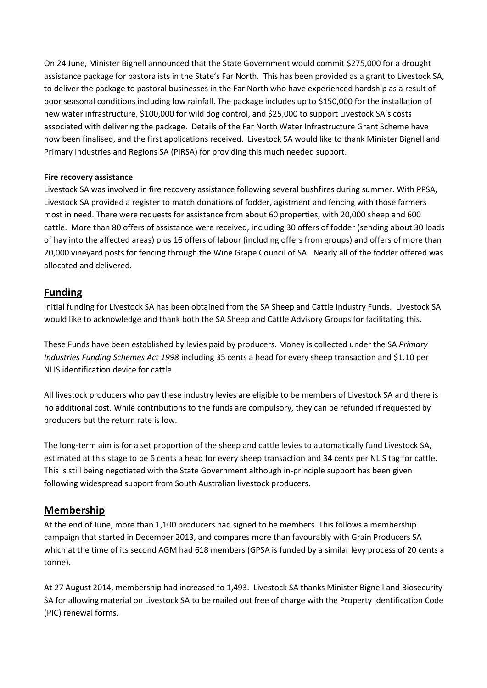On 24 June, Minister Bignell announced that the State Government would commit \$275,000 for a drought assistance package for pastoralists in the State's Far North. This has been provided as a grant to Livestock SA, to deliver the package to pastoral businesses in the Far North who have experienced hardship as a result of poor seasonal conditions including low rainfall. The package includes up to \$150,000 for the installation of new water infrastructure, \$100,000 for wild dog control, and \$25,000 to support Livestock SA's costs associated with delivering the package. Details of the Far North Water Infrastructure Grant Scheme have now been finalised, and the first applications received. Livestock SA would like to thank Minister Bignell and Primary Industries and Regions SA (PIRSA) for providing this much needed support.

### **Fire recovery assistance**

Livestock SA was involved in fire recovery assistance following several bushfires during summer. With PPSA, Livestock SA provided a register to match donations of fodder, agistment and fencing with those farmers most in need. There were requests for assistance from about 60 properties, with 20,000 sheep and 600 cattle. More than 80 offers of assistance were received, including 30 offers of fodder (sending about 30 loads of hay into the affected areas) plus 16 offers of labour (including offers from groups) and offers of more than 20,000 vineyard posts for fencing through the Wine Grape Council of SA. Nearly all of the fodder offered was allocated and delivered.

# **Funding**

Initial funding for Livestock SA has been obtained from the SA Sheep and Cattle Industry Funds. Livestock SA would like to acknowledge and thank both the SA Sheep and Cattle Advisory Groups for facilitating this.

These Funds have been established by levies paid by producers. Money is collected under the SA *Primary Industries Funding Schemes Act 1998* including 35 cents a head for every sheep transaction and \$1.10 per NLIS identification device for cattle.

All livestock producers who pay these industry levies are eligible to be members of Livestock SA and there is no additional cost. While contributions to the funds are compulsory, they can be refunded if requested by producers but the return rate is low.

The long-term aim is for a set proportion of the sheep and cattle levies to automatically fund Livestock SA, estimated at this stage to be 6 cents a head for every sheep transaction and 34 cents per NLIS tag for cattle. This is still being negotiated with the State Government although in-principle support has been given following widespread support from South Australian livestock producers.

### **Membership**

At the end of June, more than 1,100 producers had signed to be members. This follows a membership campaign that started in December 2013, and compares more than favourably with Grain Producers SA which at the time of its second AGM had 618 members (GPSA is funded by a similar levy process of 20 cents a tonne).

At 27 August 2014, membership had increased to 1,493. Livestock SA thanks Minister Bignell and Biosecurity SA for allowing material on Livestock SA to be mailed out free of charge with the Property Identification Code (PIC) renewal forms.